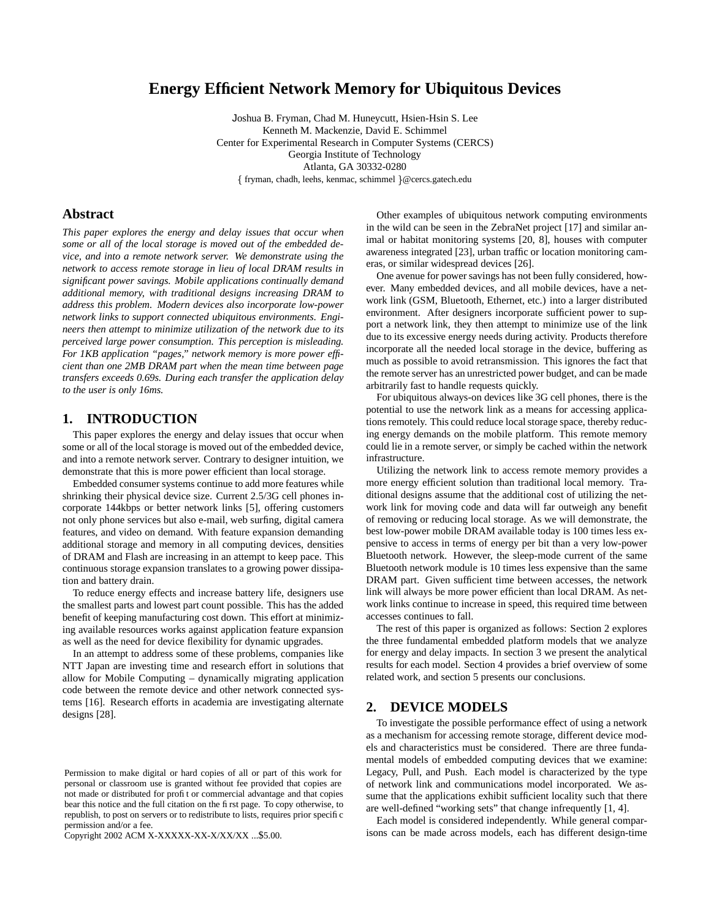# **Energy Efficient Network Memory for Ubiquitous Devices**

Joshua B. Fryman, Chad M. Huneycutt, Hsien-Hsin S. Lee Kenneth M. Mackenzie, David E. Schimmel Center for Experimental Research in Computer Systems (CERCS) Georgia Institute of Technology Atlanta, GA 30332-0280 fryman, chadh, leehs, kenmac, schimmel @cercs.gatech.edu

# **Abstract**

*This paper explores the energy and delay issues that occur when some or all of the local storage is moved out of the embedded device, and into a remote network server. We demonstrate using the network to access remote storage in lieu of local DRAM results in significant power savings. Mobile applications continually demand additional memory, with traditional designs increasing DRAM to address this problem. Modern devices also incorporate low-power network links to support connected ubiquitous environments. Engineers then attempt to minimize utilization of the network due to its perceived large power consumption. This perception is misleading. For 1KB application "pages," network memory is more power efficient than one 2MB DRAM part when the mean time between page transfers exceeds 0.69s. During each transfer the application delay to the user is only 16ms.*

#### **1. INTRODUCTION**

This paper explores the energy and delay issues that occur when some or all of the local storage is moved out of the embedded device, and into a remote network server. Contrary to designer intuition, we demonstrate that this is more power efficient than local storage.

Embedded consumer systems continue to add more features while shrinking their physical device size. Current 2.5/3G cell phones incorporate 144kbps or better network links [5], offering customers not only phone services but also e-mail, web surfing, digital camera features, and video on demand. With feature expansion demanding additional storage and memory in all computing devices, densities of DRAM and Flash are increasing in an attempt to keep pace. This continuous storage expansion translates to a growing power dissipation and battery drain.

To reduce energy effects and increase battery life, designers use the smallest parts and lowest part count possible. This has the added benefit of keeping manufacturing cost down. This effort at minimizing available resources works against application feature expansion as well as the need for device flexibility for dynamic upgrades.

In an attempt to address some of these problems, companies like NTT Japan are investing time and research effort in solutions that allow for Mobile Computing – dynamically migrating application code between the remote device and other network connected systems [16]. Research efforts in academia are investigating alternate designs [28].

Copyright 2002 ACM X-XXXXX-XX-X/XX/XX ...\$5.00.

Other examples of ubiquitous network computing environments in the wild can be seen in the ZebraNet project [17] and similar animal or habitat monitoring systems [20, 8], houses with computer awareness integrated [23], urban traffic or location monitoring cameras, or similar widespread devices [26].

One avenue for power savings has not been fully considered, however. Many embedded devices, and all mobile devices, have a network link (GSM, Bluetooth, Ethernet, etc.) into a larger distributed environment. After designers incorporate sufficient power to support a network link, they then attempt to minimize use of the link due to its excessive energy needs during activity. Products therefore incorporate all the needed local storage in the device, buffering as much as possible to avoid retransmission. This ignores the fact that the remote server has an unrestricted power budget, and can be made arbitrarily fast to handle requests quickly.

For ubiquitous always-on devices like 3G cell phones, there is the potential to use the network link as a means for accessing applications remotely. This could reduce local storage space, thereby reducing energy demands on the mobile platform. This remote memory could lie in a remote server, or simply be cached within the network infrastructure.

Utilizing the network link to access remote memory provides a more energy efficient solution than traditional local memory. Traditional designs assume that the additional cost of utilizing the network link for moving code and data will far outweigh any benefit of removing or reducing local storage. As we will demonstrate, the best low-power mobile DRAM available today is 100 times less expensive to access in terms of energy per bit than a very low-power Bluetooth network. However, the sleep-mode current of the same Bluetooth network module is 10 times less expensive than the same DRAM part. Given sufficient time between accesses, the network link will always be more power efficient than local DRAM. As network links continue to increase in speed, this required time between accesses continues to fall.

The rest of this paper is organized as follows: Section 2 explores the three fundamental embedded platform models that we analyze for energy and delay impacts. In section 3 we present the analytical results for each model. Section 4 provides a brief overview of some related work, and section 5 presents our conclusions.

# **2. DEVICE MODELS**

To investigate the possible performance effect of using a network as a mechanism for accessing remote storage, different device models and characteristics must be considered. There are three fundamental models of embedded computing devices that we examine: Legacy, Pull, and Push. Each model is characterized by the type of network link and communications model incorporated. We assume that the applications exhibit sufficient locality such that there are well-defined "working sets" that change infrequently [1, 4].

Each model is considered independently. While general comparisons can be made across models, each has different design-time

Permission to make digital or hard copies of all or part of this work for personal or classroom use is granted without fee provided that copies are not made or distributed for profit or commercial advantage and that copies bear this notice and the full citation on the first page. To copy otherwise, to republish, to post on servers or to redistribute to lists, requires prior specific permission and/or a fee.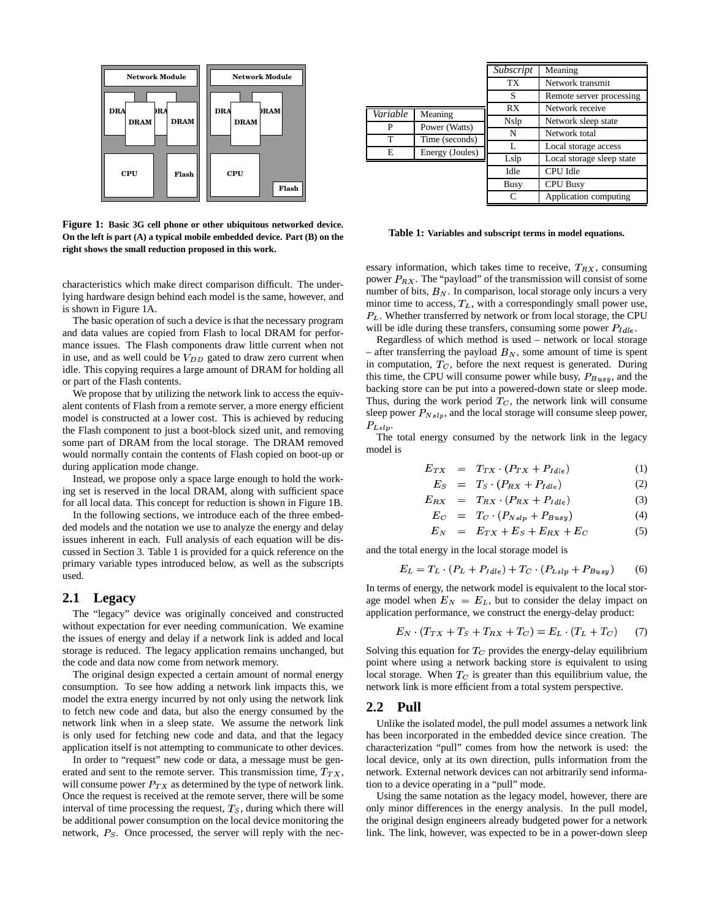

**Figure 1: Basic 3G cell phone or other ubiquitous networked device. On the left is part (A) a typical mobile embedded device. Part (B) on the right shows the small reduction proposed in this work.**

characteristics which make direct comparison difficult. The underlying hardware design behind each model is the same, however, and is shown in Figure 1A.

The basic operation of such a device is that the necessary program and data values are copied from Flash to local DRAM for performance issues. The Flash components draw little current when not in use, and as well could be  $V_{DD}$  gated to draw zero current when idle. This copying requires a large amount of DRAM for holding all or part of the Flash contents.

We propose that by utilizing the network link to access the equivalent contents of Flash from a remote server, a more energy efficient model is constructed at a lower cost. This is achieved by reducing the Flash component to just a boot-block sized unit, and removing some part of DRAM from the local storage. The DRAM removed would normally contain the contents of Flash copied on boot-up or during application mode change.

Instead, we propose only a space large enough to hold the working set is reserved in the local DRAM, along with sufficient space for all local data. This concept for reduction is shown in Figure 1B.

In the following sections, we introduce each of the three embedded models and the notation we use to analyze the energy and delay issues inherent in each. Full analysis of each equation will be discussed in Section 3. Table 1 is provided for a quick reference on the primary variable types introduced below, as well as the subscripts used.

#### **2.1 Legacy**

The "legacy" device was originally conceived and constructed without expectation for ever needing communication. We examine the issues of energy and delay if a network link is added and local storage is reduced. The legacy application remains unchanged, but the code and data now come from network memory.

The original design expected a certain amount of normal energy consumption. To see how adding a network link impacts this, we model the extra energy incurred by not only using the network link to fetch new code and data, but also the energy consumed by the network link when in a sleep state. We assume the network link is only used for fetching new code and data, and that the legacy application itself is not attempting to communicate to other devices.

In order to "request" new code or data, a message must be generated and sent to the remote server. This transmission time,  $T_{TX}$ , will consume power  $P_{TX}$  as determined by the type of network link. Once the request is received at the remote server, there will be some interval of time processing the request,  $T<sub>S</sub>$ , during which there will be additional power consumption on the local device monitoring the network,  $P<sub>S</sub>$ . Once processed, the server will reply with the nec-

|          |                 | Subscript   | Meaning                   |
|----------|-----------------|-------------|---------------------------|
|          |                 | TX          | Network transmit          |
|          |                 | S           | Remote server processing  |
| Variable | Meaning         | RX          | Network receive           |
| P        |                 | Nslp        | Network sleep state       |
|          | Power (Watts)   | N           | Network total             |
| T        | Time (seconds)  | L           | Local storage access      |
| E        | Energy (Joules) | Lslp        | Local storage sleep state |
|          |                 | Idle        | <b>CPU</b> Idle           |
|          |                 | <b>Busy</b> | <b>CPU Busy</b>           |
|          |                 | $\subset$   | Application computing     |

**Table 1: Variables and subscript terms in model equations.**

essary information, which takes time to receive,  $T_{RX}$ , consuming power  $P_{RX}$ . The "payload" of the transmission will consist of some number of bits,  $B_N$ . In comparison, local storage only incurs a very minor time to access,  $T_L$ , with a correspondingly small power use,  $P_L$ . Whether transferred by network or from local storage, the CPU will be idle during these transfers, consuming some power  $P_{Ldle}$ .

Regardless of which method is used – network or local storage – after transferring the payload  $B<sub>N</sub>$ , some amount of time is spent in computation,  $T_C$ , before the next request is generated. During this time, the CPU will consume power while busy,  $P_{Bussy}$ , and the backing store can be put into a powered-down state or sleep mode. Thus, during the work period  $T_C$ , the network link will consume sleep power  $P_{Nslp}$ , and the local storage will consume sleep power,  $P_{Lslp}$ .

The total energy consumed by the network link in the legacy model is

$$
E_{TX} = T_{TX} \cdot (P_{TX} + P_{I dle}) \tag{1}
$$

$$
E_S = T_S \cdot (P_{RX} + P_{I dle}) \tag{2}
$$

$$
E_{RX} = T_{RX} \cdot (P_{RX} + P_{I dle}) \tag{3}
$$

$$
E_C = T_C \cdot (P_{Nslp} + P_{Busy}) \tag{4}
$$

$$
E_N = E_{TX} + E_S + E_{RX} + E_C \tag{5}
$$

and the total energy in the local storage model is

$$
E_L = T_L \cdot (P_L + P_{I\,d\,le}) + T_C \cdot (P_{L\,slp} + P_{B\,us\,s}) \tag{6}
$$

In terms of energy, the network model is equivalent to the local storage model when  $E<sub>N</sub> = E<sub>L</sub>$ , but to consider the delay impact on application performance, we construct the energy-delay product:

$$
E_N \cdot (T_{TX} + T_S + T_{RX} + T_C) = E_L \cdot (T_L + T_C) \tag{7}
$$

Solving this equation for  $T_C$  provides the energy-delay equilibrium point where using a network backing store is equivalent to using local storage. When  $T_C$  is greater than this equilibrium value, the network link is more efficient from a total system perspective.

#### **2.2 Pull**

Unlike the isolated model, the pull model assumes a network link has been incorporated in the embedded device since creation. The characterization "pull" comes from how the network is used: the local device, only at its own direction, pulls information from the network. External network devices can not arbitrarily send information to a device operating in a "pull" mode.

Using the same notation as the legacy model, however, there are only minor differences in the energy analysis. In the pull model, the original design engineers already budgeted power for a network link. The link, however, was expected to be in a power-down sleep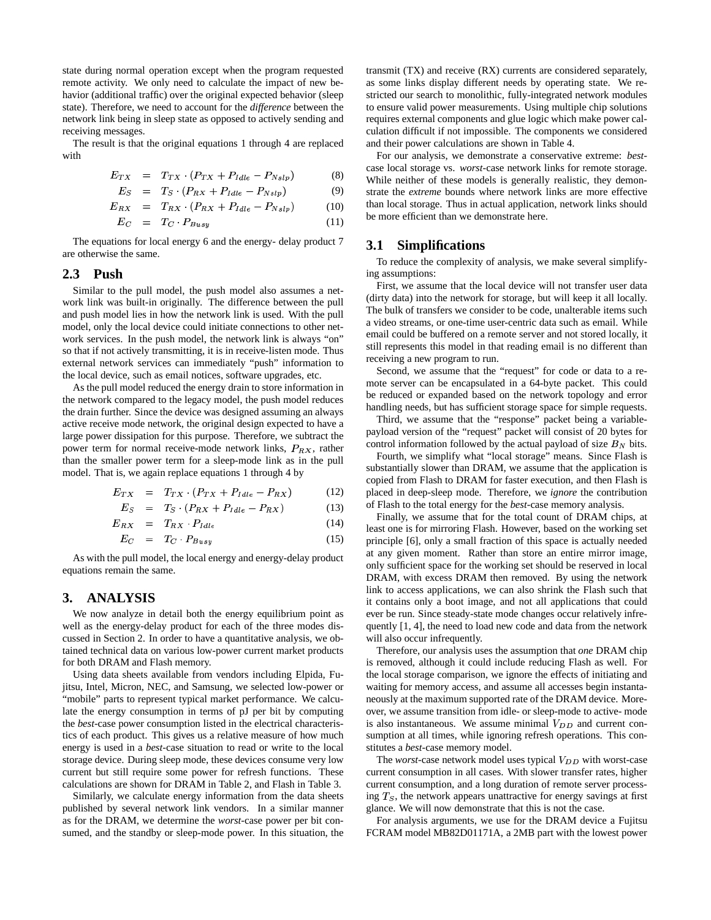state during normal operation except when the program requested remote activity. We only need to calculate the impact of new behavior (additional traffic) over the original expected behavior (sleep state). Therefore, we need to account for the *difference* between the network link being in sleep state as opposed to actively sending and receiving messages.

The result is that the original equations 1 through 4 are replaced with

$$
E_{TX} = T_{TX} \cdot (P_{TX} + P_{I dle} - P_{N slp}) \tag{8}
$$

$$
E_S = T_S \cdot (P_{RX} + P_{Idle} - P_{Nslp}) \tag{9}
$$

$$
E_{RX} = T_{RX} \cdot (P_{RX} + P_{Idle} - P_{Nslp}) \tag{10}
$$

$$
E_C = T_C \cdot P_{Busy} \tag{11}
$$

The equations for local energy 6 and the energy- delay product 7 are otherwise the same.

# **2.3 Push**

Similar to the pull model, the push model also assumes a network link was built-in originally. The difference between the pull and push model lies in how the network link is used. With the pull model, only the local device could initiate connections to other network services. In the push model, the network link is always "on" so that if not actively transmitting, it is in receive-listen mode. Thus external network services can immediately "push" information to the local device, such as email notices, software upgrades, etc.

As the pull model reduced the energy drain to store information in the network compared to the legacy model, the push model reduces the drain further. Since the device was designed assuming an always active receive mode network, the original design expected to have a large power dissipation for this purpose. Therefore, we subtract the power term for normal receive-mode network links,  $P_{RX}$ , rather than the smaller power term for a sleep-mode link as in the pull model. That is, we again replace equations 1 through 4 by

$$
E_{TX} = T_{TX} \cdot (P_{TX} + P_{Iale} - P_{RX}) \tag{12}
$$

$$
E_S = T_S \cdot (P_{RX} + P_{I\,dle} - P_{RX}) \tag{13}
$$

$$
E_{RX} = T_{RX} \cdot P_{I dle} \tag{14}
$$

$$
E_C = T_C \cdot P_{Busy} \tag{15}
$$

As with the pull model, the local energy and energy-delay product equations remain the same.

# **3. ANALYSIS**

We now analyze in detail both the energy equilibrium point as well as the energy-delay product for each of the three modes discussed in Section 2. In order to have a quantitative analysis, we obtained technical data on various low-power current market products for both DRAM and Flash memory.

Using data sheets available from vendors including Elpida, Fujitsu, Intel, Micron, NEC, and Samsung, we selected low-power or "mobile" parts to represent typical market performance. We calculate the energy consumption in terms of pJ per bit by computing the *best*-case power consumption listed in the electrical characteristics of each product. This gives us a relative measure of how much energy is used in a *best*-case situation to read or write to the local storage device. During sleep mode, these devices consume very low current but still require some power for refresh functions. These calculations are shown for DRAM in Table 2, and Flash in Table 3.

Similarly, we calculate energy information from the data sheets published by several network link vendors. In a similar manner as for the DRAM, we determine the *worst*-case power per bit consumed, and the standby or sleep-mode power. In this situation, the transmit (TX) and receive (RX) currents are considered separately, as some links display different needs by operating state. We restricted our search to monolithic, fully-integrated network modules to ensure valid power measurements. Using multiple chip solutions requires external components and glue logic which make power calculation difficult if not impossible. The components we considered and their power calculations are shown in Table 4.

For our analysis, we demonstrate a conservative extreme: *best*case local storage vs. *worst*-case network links for remote storage. While neither of these models is generally realistic, they demonstrate the *extreme* bounds where network links are more effective than local storage. Thus in actual application, network links should be more efficient than we demonstrate here.

#### **3.1 Simplifications**

To reduce the complexity of analysis, we make several simplifying assumptions:

First, we assume that the local device will not transfer user data (dirty data) into the network for storage, but will keep it all locally. The bulk of transfers we consider to be code, unalterable items such a video streams, or one-time user-centric data such as email. While email could be buffered on a remote server and not stored locally, it still represents this model in that reading email is no different than receiving a new program to run.

Second, we assume that the "request" for code or data to a remote server can be encapsulated in a 64-byte packet. This could be reduced or expanded based on the network topology and error handling needs, but has sufficient storage space for simple requests.

Third, we assume that the "response" packet being a variablepayload version of the "request" packet will consist of 20 bytes for control information followed by the actual payload of size  $B<sub>N</sub>$  bits.

Fourth, we simplify what "local storage" means. Since Flash is substantially slower than DRAM, we assume that the application is copied from Flash to DRAM for faster execution, and then Flash is placed in deep-sleep mode. Therefore, we *ignore* the contribution of Flash to the total energy for the *best*-case memory analysis.

Finally, we assume that for the total count of DRAM chips, at least one is for mirroring Flash. However, based on the working set principle [6], only a small fraction of this space is actually needed at any given moment. Rather than store an entire mirror image, only sufficient space for the working set should be reserved in local DRAM, with excess DRAM then removed. By using the network link to access applications, we can also shrink the Flash such that it contains only a boot image, and not all applications that could ever be run. Since steady-state mode changes occur relatively infrequently [1, 4], the need to load new code and data from the network will also occur infrequently.

Therefore, our analysis uses the assumption that *one* DRAM chip is removed, although it could include reducing Flash as well. For the local storage comparison, we ignore the effects of initiating and waiting for memory access, and assume all accesses begin instantaneously at the maximum supported rate of the DRAM device. Moreover, we assume transition from idle- or sleep-mode to active- mode is also instantaneous. We assume minimal  $V_{DD}$  and current consumption at all times, while ignoring refresh operations. This constitutes a *best*-case memory model.

The *worst*-case network model uses typical  $V_{DD}$  with worst-case current consumption in all cases. With slower transfer rates, higher current consumption, and a long duration of remote server processing  $T<sub>S</sub>$ , the network appears unattractive for energy savings at first glance. We will now demonstrate that this is not the case.

For analysis arguments, we use for the DRAM device a Fujitsu FCRAM model MB82D01171A, a 2MB part with the lowest power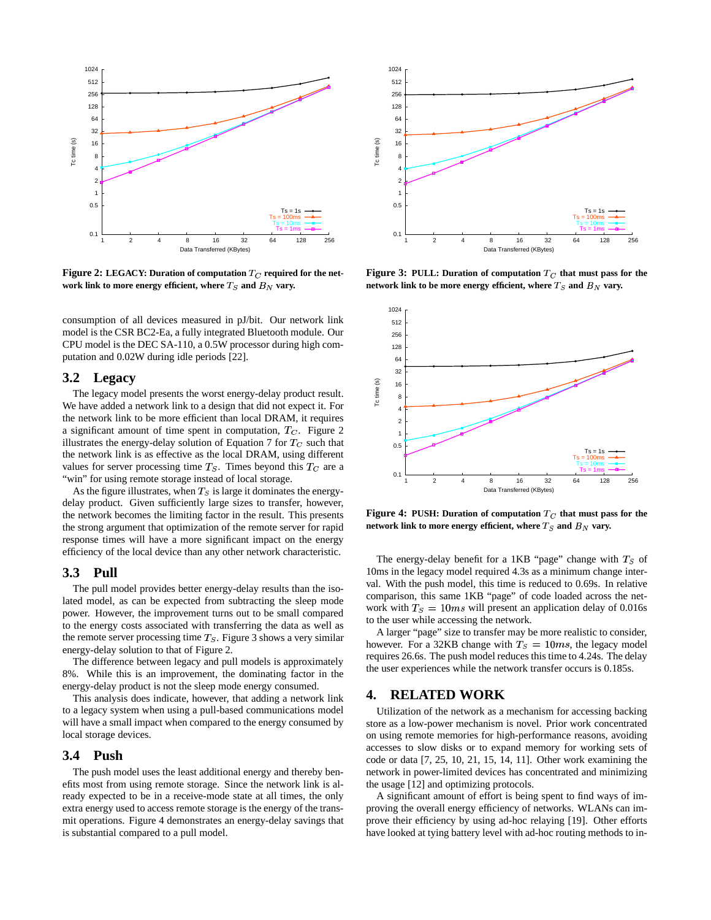

**Figure 2:** LEGACY: Duration of computation  $T_C$  required for the network link to more energy efficient, where  $T_S$  and  $B_N$  vary.

consumption of all devices measured in pJ/bit. Our network link model is the CSR BC2-Ea, a fully integrated Bluetooth module. Our CPU model is the DEC SA-110, a 0.5W processor during high computation and 0.02W during idle periods [22].

#### **3.2 Legacy**

The legacy model presents the worst energy-delay product result. We have added a network link to a design that did not expect it. For the network link to be more efficient than local DRAM, it requires a significant amount of time spent in computation,  $T_C$ . Figure 2 illustrates the energy-delay solution of Equation 7 for  $T_C$  such that the network link is as effective as the local DRAM, using different values for server processing time  $T_S$ . Times beyond this  $T_C$  are a "win" for using remote storage instead of local storage.

As the figure illustrates, when  $T_S$  is large it dominates the energydelay product. Given sufficiently large sizes to transfer, however, the network becomes the limiting factor in the result. This presents the strong argument that optimization of the remote server for rapid response times will have a more significant impact on the energy efficiency of the local device than any other network characteristic.

## **3.3 Pull**

The pull model provides better energy-delay results than the isolated model, as can be expected from subtracting the sleep mode power. However, the improvement turns out to be small compared to the energy costs associated with transferring the data as well as the remote server processing time  $T<sub>S</sub>$ . Figure 3 shows a very similar energy-delay solution to that of Figure 2.

The difference between legacy and pull models is approximately 8%. While this is an improvement, the dominating factor in the energy-delay product is not the sleep mode energy consumed.

This analysis does indicate, however, that adding a network link to a legacy system when using a pull-based communications model will have a small impact when compared to the energy consumed by local storage devices.

#### **3.4 Push**

The push model uses the least additional energy and thereby benefits most from using remote storage. Since the network link is already expected to be in a receive-mode state at all times, the only extra energy used to access remote storage is the energy of the transmit operations. Figure 4 demonstrates an energy-delay savings that is substantial compared to a pull model.



**Figure 3: PULL: Duration of computation that must pass for the**  ${\bf n}$  etwork link to be more energy efficient, where  $T_S$  and  $B_N$  vary.



**Figure 4:** PUSH: Duration of computation  $T_C$  that must pass for the network link to more energy efficient, where  $T_S$  and  $B_N$  vary.

The energy-delay benefit for a 1KB "page" change with  $T_S$  of 10ms in the legacy model required 4.3s as a minimum change interval. With the push model, this time is reduced to 0.69s. In relative comparison, this same 1KB "page" of code loaded across the network with  $T_s = 10ms$  will present an application delay of 0.016s to the user while accessing the network.

A larger "page" size to transfer may be more realistic to consider, however. For a 32KB change with  $T_s = 10ms$ , the legacy model requires 26.6s. The push model reduces this time to 4.24s. The delay the user experiences while the network transfer occurs is 0.185s.

#### **4. RELATED WORK**

Utilization of the network as a mechanism for accessing backing store as a low-power mechanism is novel. Prior work concentrated on using remote memories for high-performance reasons, avoiding accesses to slow disks or to expand memory for working sets of code or data [7, 25, 10, 21, 15, 14, 11]. Other work examining the network in power-limited devices has concentrated and minimizing the usage [12] and optimizing protocols.

A significant amount of effort is being spent to find ways of improving the overall energy efficiency of networks. WLANs can improve their efficiency by using ad-hoc relaying [19]. Other efforts have looked at tying battery level with ad-hoc routing methods to in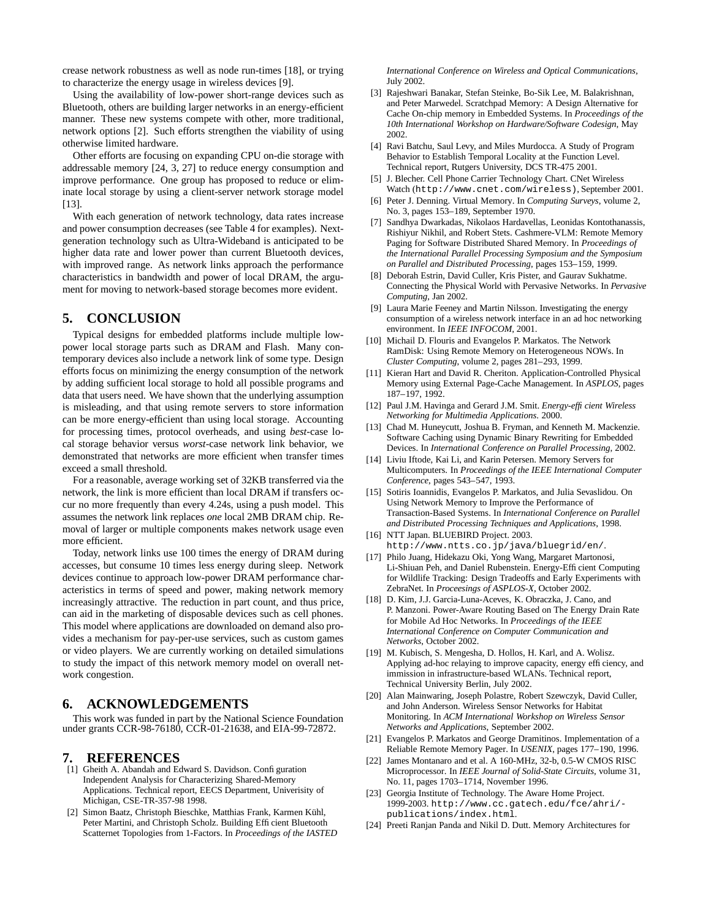crease network robustness as well as node run-times [18], or trying to characterize the energy usage in wireless devices [9].

Using the availability of low-power short-range devices such as Bluetooth, others are building larger networks in an energy-efficient manner. These new systems compete with other, more traditional, network options [2]. Such efforts strengthen the viability of using otherwise limited hardware.

Other efforts are focusing on expanding CPU on-die storage with addressable memory [24, 3, 27] to reduce energy consumption and improve performance. One group has proposed to reduce or eliminate local storage by using a client-server network storage model [13].

With each generation of network technology, data rates increase and power consumption decreases (see Table 4 for examples). Nextgeneration technology such as Ultra-Wideband is anticipated to be higher data rate and lower power than current Bluetooth devices, with improved range. As network links approach the performance characteristics in bandwidth and power of local DRAM, the argument for moving to network-based storage becomes more evident.

# **5. CONCLUSION**

Typical designs for embedded platforms include multiple lowpower local storage parts such as DRAM and Flash. Many contemporary devices also include a network link of some type. Design efforts focus on minimizing the energy consumption of the network by adding sufficient local storage to hold all possible programs and data that users need. We have shown that the underlying assumption is misleading, and that using remote servers to store information can be more energy-efficient than using local storage. Accounting for processing times, protocol overheads, and using *best*-case local storage behavior versus *worst*-case network link behavior, we demonstrated that networks are more efficient when transfer times exceed a small threshold.

For a reasonable, average working set of 32KB transferred via the network, the link is more efficient than local DRAM if transfers occur no more frequently than every 4.24s, using a push model. This assumes the network link replaces *one* local 2MB DRAM chip. Removal of larger or multiple components makes network usage even more efficient.

Today, network links use 100 times the energy of DRAM during accesses, but consume 10 times less energy during sleep. Network devices continue to approach low-power DRAM performance characteristics in terms of speed and power, making network memory increasingly attractive. The reduction in part count, and thus price, can aid in the marketing of disposable devices such as cell phones. This model where applications are downloaded on demand also provides a mechanism for pay-per-use services, such as custom games or video players. We are currently working on detailed simulations to study the impact of this network memory model on overall network congestion.

# **6. ACKNOWLEDGEMENTS**

This work was funded in part by the National Science Foundation under grants CCR-98-76180, CCR-01-21638, and EIA-99-72872.

#### **7. REFERENCES**

- [1] Gheith A. Abandah and Edward S. Davidson. Configuration Independent Analysis for Characterizing Shared-Memory Applications. Technical report, EECS Department, Univerisity of Michigan, CSE-TR-357-98 1998.
- [2] Simon Baatz, Christoph Bieschke, Matthias Frank, Karmen Kühl, Peter Martini, and Christoph Scholz. Building Efficient Bluetooth Scatternet Topologies from 1-Factors. In *Proceedings of the IASTED*

*International Conference on Wireless and Optical Communications*, July 2002.

- [3] Rajeshwari Banakar, Stefan Steinke, Bo-Sik Lee, M. Balakrishnan, and Peter Marwedel. Scratchpad Memory: A Design Alternative for Cache On-chip memory in Embedded Systems. In *Proceedings of the 10th International Workshop on Hardware/Software Codesign*, May 2002.
- [4] Ravi Batchu, Saul Levy, and Miles Murdocca. A Study of Program Behavior to Establish Temporal Locality at the Function Level. Technical report, Rutgers University, DCS TR-475 2001.
- [5] J. Blecher. Cell Phone Carrier Technology Chart. CNet Wireless Watch (http://www.cnet.com/wireless), September 2001.
- [6] Peter J. Denning. Virtual Memory. In *Computing Surveys*, volume 2, No. 3, pages 153–189, September 1970.
- [7] Sandhya Dwarkadas, Nikolaos Hardavellas, Leonidas Kontothanassis, Rishiyur Nikhil, and Robert Stets. Cashmere-VLM: Remote Memory Paging for Software Distributed Shared Memory. In *Proceedings of the International Parallel Processing Symposium and the Symposium on Parallel and Distributed Processing*, pages 153–159, 1999.
- [8] Deborah Estrin, David Culler, Kris Pister, and Gaurav Sukhatme. Connecting the Physical World with Pervasive Networks. In *Pervasive Computing*, Jan 2002.
- [9] Laura Marie Feeney and Martin Nilsson. Investigating the energy consumption of a wireless network interface in an ad hoc networking environment. In *IEEE INFOCOM*, 2001.
- [10] Michail D. Flouris and Evangelos P. Markatos. The Network RamDisk: Using Remote Memory on Heterogeneous NOWs. In *Cluster Computing*, volume 2, pages 281–293, 1999.
- [11] Kieran Hart and David R. Cheriton. Application-Controlled Physical Memory using External Page-Cache Management. In *ASPLOS*, pages 187–197, 1992.
- [12] Paul J.M. Havinga and Gerard J.M. Smit. *Energy-efficient Wireless Networking for Multimedia Applications*. 2000.
- [13] Chad M. Huneycutt, Joshua B. Fryman, and Kenneth M. Mackenzie. Software Caching using Dynamic Binary Rewriting for Embedded Devices. In *International Conference on Parallel Processing*, 2002.
- [14] Liviu Iftode, Kai Li, and Karin Petersen. Memory Servers for Multicomputers. In *Proceedings of the IEEE International Computer Conference*, pages 543–547, 1993.
- [15] Sotiris Ioannidis, Evangelos P. Markatos, and Julia Sevaslidou. On Using Network Memory to Improve the Performance of Transaction-Based Systems. In *International Conference on Parallel and Distributed Processing Techniques and Applications*, 1998.
- [16] NTT Japan. BLUEBIRD Project. 2003. http://www.ntts.co.jp/java/bluegrid/en/.
- [17] Philo Juang, Hidekazu Oki, Yong Wang, Margaret Martonosi, Li-Shiuan Peh, and Daniel Rubenstein. Energy-Efficient Computing for Wildlife Tracking: Design Tradeoffs and Early Experiments with ZebraNet. In *Proceesings of ASPLOS-X*, October 2002.
- [18] D. Kim, J.J. Garcia-Luna-Aceves, K. Obraczka, J. Cano, and P. Manzoni. Power-Aware Routing Based on The Energy Drain Rate for Mobile Ad Hoc Networks. In *Proceedings of the IEEE International Conference on Computer Communication and Networks*, October 2002.
- [19] M. Kubisch, S. Mengesha, D. Hollos, H. Karl, and A. Wolisz. Applying ad-hoc relaying to improve capacity, energy efficiency, and immission in infrastructure-based WLANs. Technical report, Technical University Berlin, July 2002.
- [20] Alan Mainwaring, Joseph Polastre, Robert Szewczyk, David Culler, and John Anderson. Wireless Sensor Networks for Habitat Monitoring. In *ACM International Workshop on Wireless Sensor Networks and Applications*, September 2002.
- [21] Evangelos P. Markatos and George Dramitinos. Implementation of a Reliable Remote Memory Pager. In *USENIX*, pages 177–190, 1996.
- [22] James Montanaro and et al. A 160-MHz, 32-b, 0.5-W CMOS RISC Microprocessor. In *IEEE Journal of Solid-State Circuits*, volume 31, No. 11, pages 1703–1714, November 1996.
- [23] Georgia Institute of Technology. The Aware Home Project. 1999-2003. http://www.cc.gatech.edu/fce/ahri/ publications/index.html.
- [24] Preeti Ranjan Panda and Nikil D. Dutt. Memory Architectures for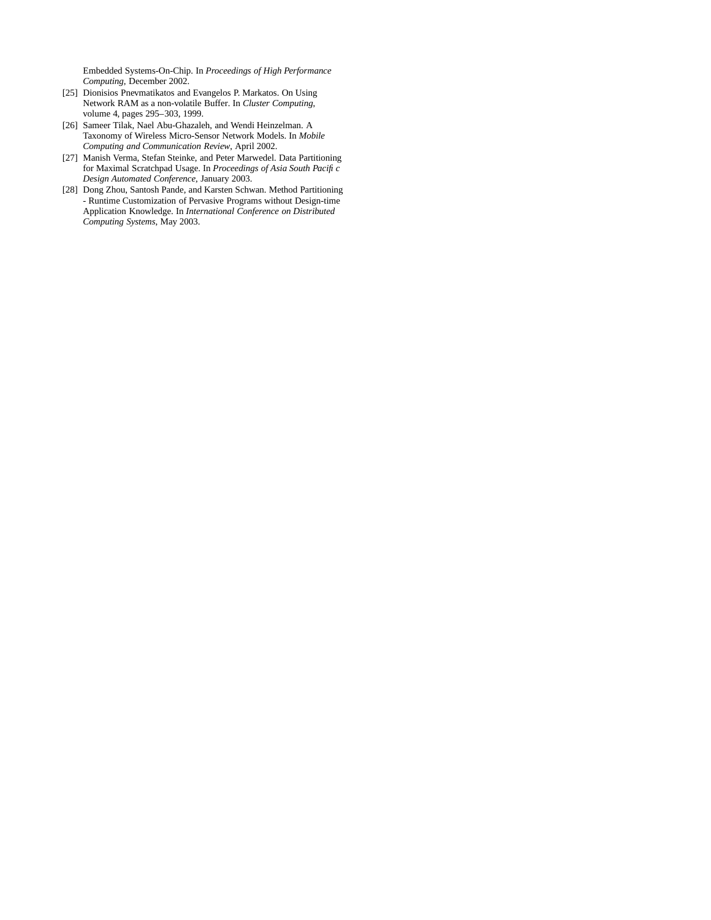Embedded Systems-On-Chip. In *Proceedings of High Performance Computing*, December 2002.

- [25] Dionisios Pnevmatikatos and Evangelos P. Markatos. On Using Network RAM as a non-volatile Buffer. In *Cluster Computing*, volume 4, pages 295–303, 1999.
- [26] Sameer Tilak, Nael Abu-Ghazaleh, and Wendi Heinzelman. A Taxonomy of Wireless Micro-Sensor Network Models. In *Mobile Computing and Communication Review*, April 2002.
- [27] Manish Verma, Stefan Steinke, and Peter Marwedel. Data Partitioning for Maximal Scratchpad Usage. In *Proceedings of Asia South Pacific Design Automated Conference*, January 2003.
- [28] Dong Zhou, Santosh Pande, and Karsten Schwan. Method Partitioning - Runtime Customization of Pervasive Programs without Design-time Application Knowledge. In *International Conference on Distributed Computing Systems*, May 2003.